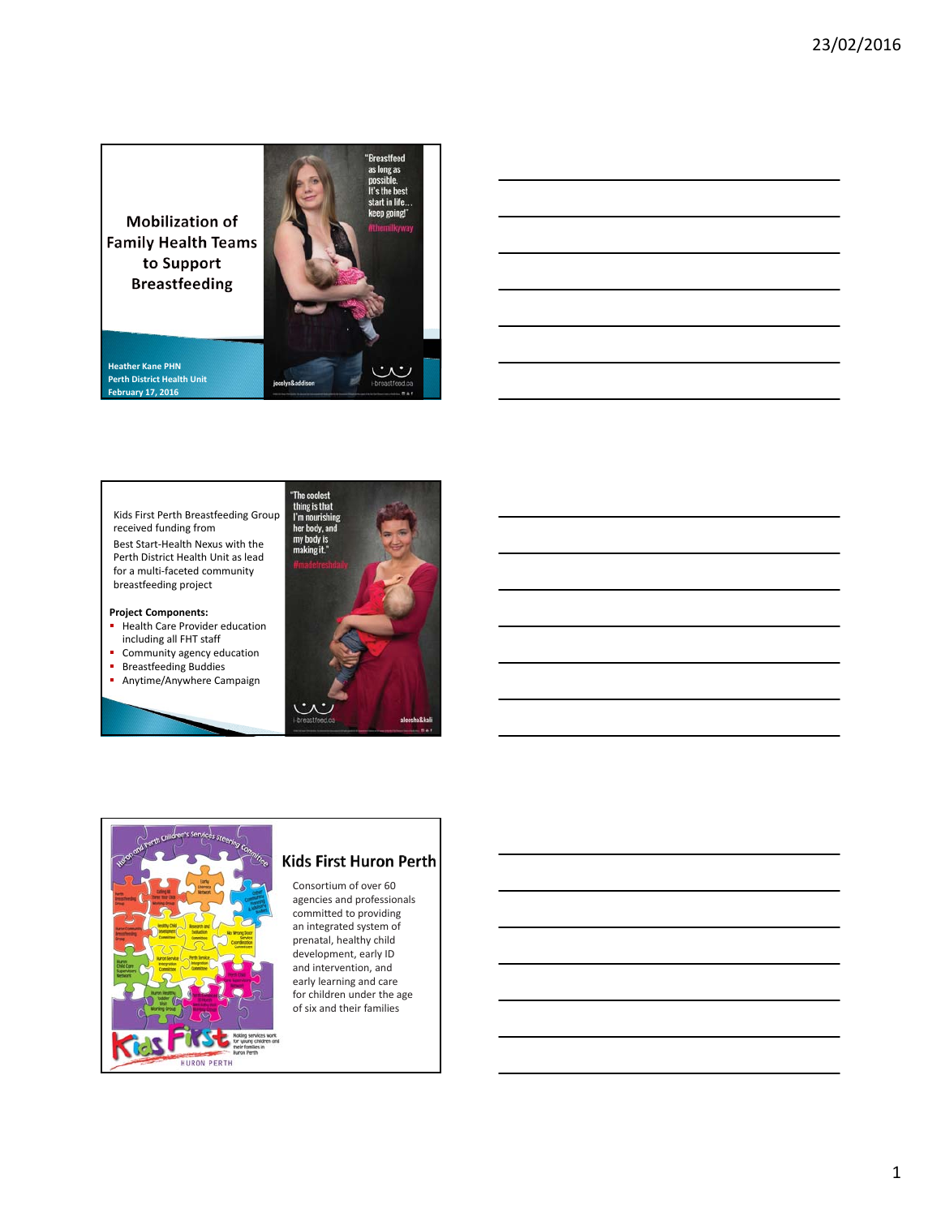**Mobilization of Family Health Teams** to Support **Breastfeeding** 

**Heather Kane PHN Perth District Health Unit February 17, 2016**



"Breastfeed

Kids First Perth Breastfeeding Group received funding from Best Start‐Health Nexus with the Perth District Health Unit as lead for a multi‐faceted community breastfeeding project

**Project Components:**

- **Health Care Provider education** including all FHT staff
- **Community agency education**
- **Breastfeeding Buddies**
- **Anytime/Anywhere Campaign**





# Kids First Huron Perth

Consortium of over 60 agencies and professionals committed to providing an integrated system of prenatal, healthy child development, early ID and intervention, and early learning and care for children under the age of six and their families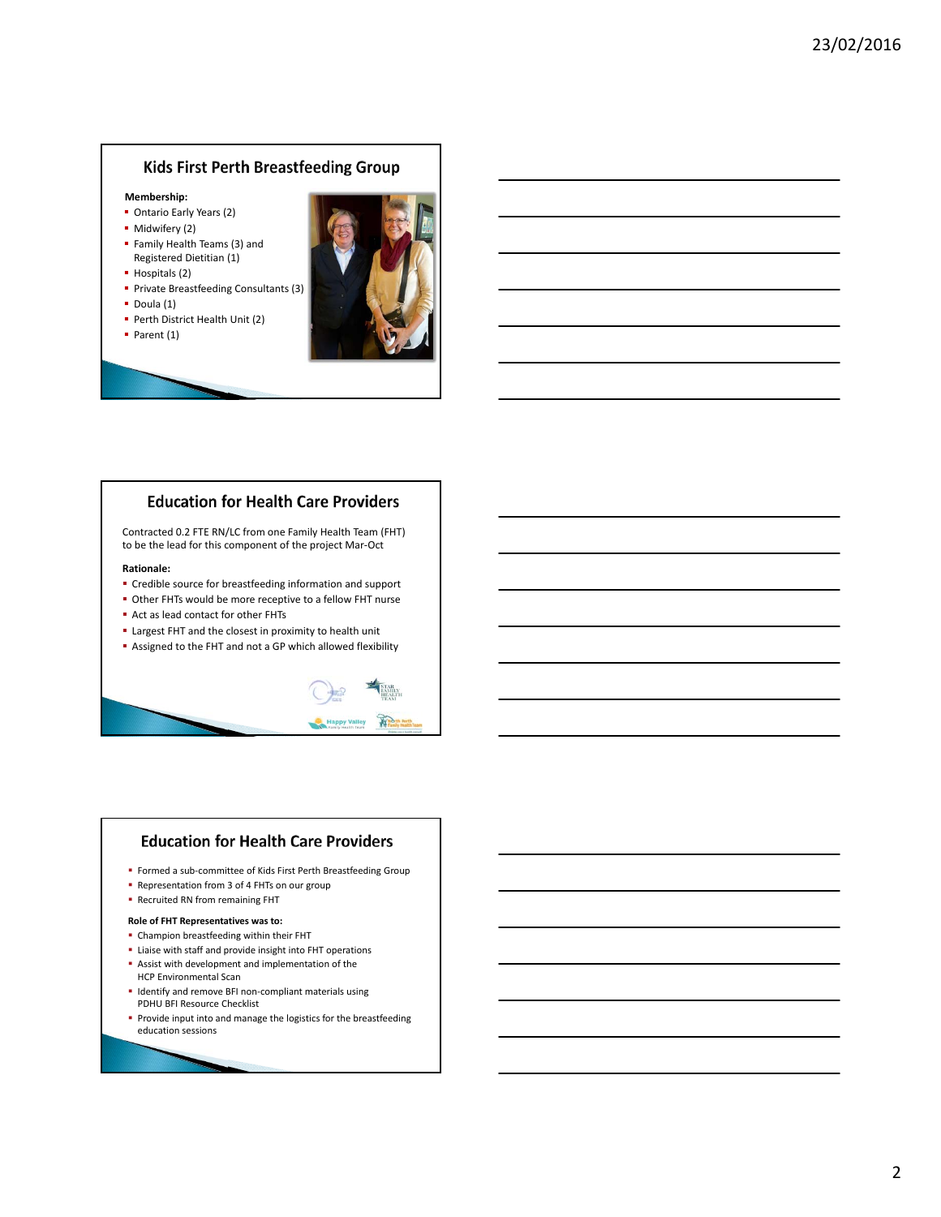## **Kids First Perth Breastfeeding Group**

#### **Membership:**

- **Ontario Early Years (2)**
- Midwifery (2)
- Family Health Teams (3) and Registered Dietitian (1)
- Hospitals (2)
- **Private Breastfeeding Consultants (3)**
- $\bullet$  Doula (1)
- **Perth District Health Unit (2)**
- $\blacksquare$  Parent (1)



# **Education for Health Care Providers**

Contracted 0.2 FTE RN/LC from one Family Health Team (FHT) to be the lead for this component of the project Mar‐Oct

#### **Rationale:**

- Credible source for breastfeeding information and support
- Other FHTs would be more receptive to a fellow FHT nurse
- Act as lead contact for other FHTs
- Largest FHT and the closest in proximity to health unit
- Assigned to the FHT and not a GP which allowed flexibility



## **Education for Health Care Providers**

- Formed a sub-committee of Kids First Perth Breastfeeding Group
- **Representation from 3 of 4 FHTs on our group**
- **-** Recruited RN from remaining FHT

#### **Role of FHT Representatives was to:**

- Champion breastfeeding within their FHT
- **E** Liaise with staff and provide insight into FHT operations
- Assist with development and implementation of the HCP Environmental Scan
- Identify and remove BFI non-compliant materials using PDHU BFI Resource Checklist
- **Provide input into and manage the logistics for the breastfeeding** education sessions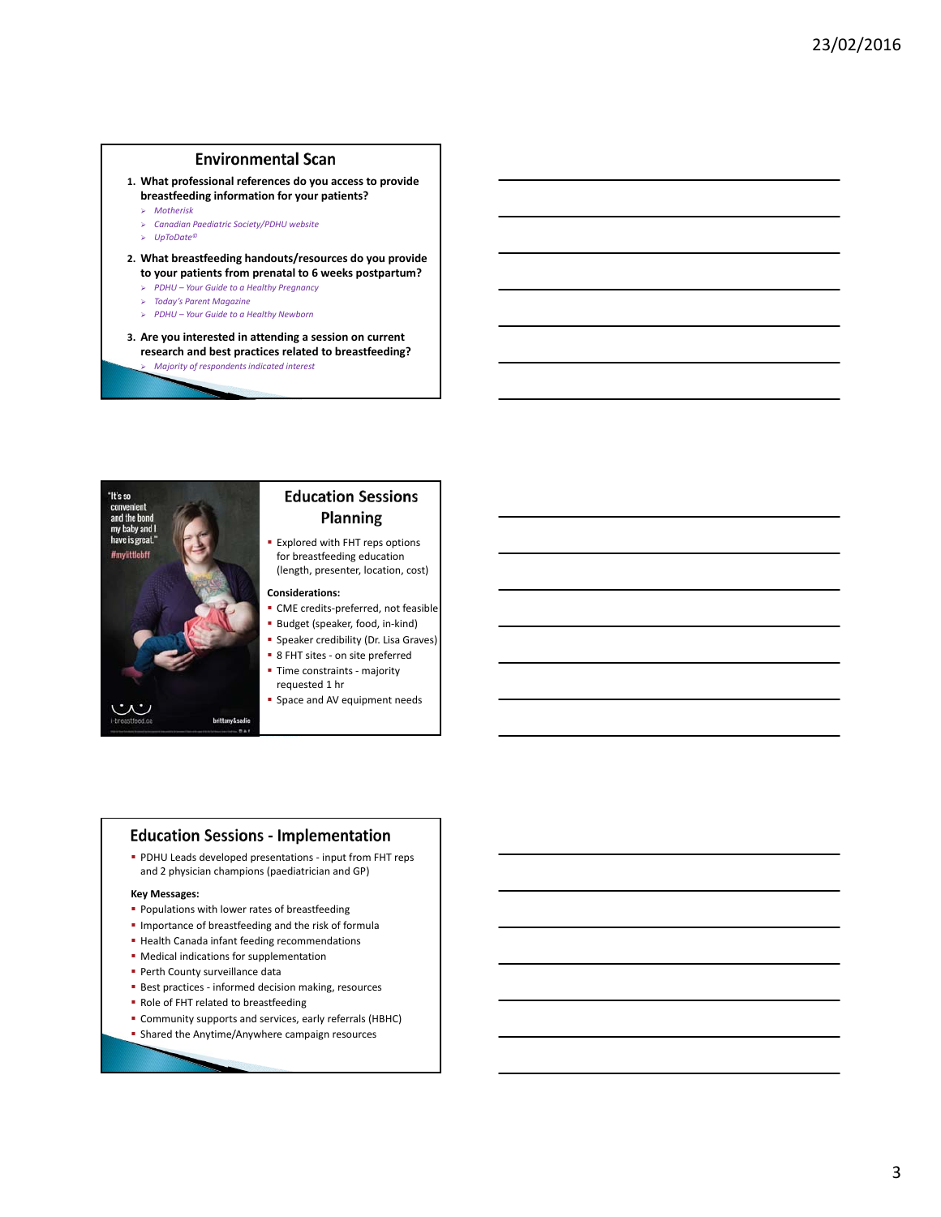### **Environmental Scan**

- **1. What professional references do you access to provide breastfeeding information for your patients?**
	- *Motherisk*
	- *Canadian Paediatric Society/PDHU website*
	- *UpToDate©*
- **2. What breastfeeding handouts/resources do you provide to your patients from prenatal to 6 weeks postpartum?** 
	- *PDHU Your Guide to a Healthy Pregnancy*
	- *Today's Parent Magazine*
	- *PDHU Your Guide to a Healthy Newborn*
- **3. Are you interested in attending a session on current research and best practices related to breastfeeding?** *Majority of respondents indicated interest*



# **Education Sessions Planning**

**Explored with FHT reps options** for breastfeeding education (length, presenter, location, cost)

### **Considerations:**

- CME credits-preferred, not feasible
- Budget (speaker, food, in-kind)
- **Speaker credibility (Dr. Lisa Graves)**
- 8 FHT sites on site preferred Time constraints ‐ majority requested 1 hr
- **Space and AV equipment needs**

### **Education Sessions - Implementation**

■ PDHU Leads developed presentations - input from FHT reps and 2 physician champions (paediatrician and GP)

#### **Key Messages:**

- **Populations with lower rates of breastfeeding**
- **Importance of breastfeeding and the risk of formula**
- **Health Canada infant feeding recommendations**
- Medical indications for supplementation
- **Perth County surveillance data**
- Best practices informed decision making, resources
- Role of FHT related to breastfeeding
- Community supports and services, early referrals (HBHC)
- **Shared the Anytime/Anywhere campaign resources**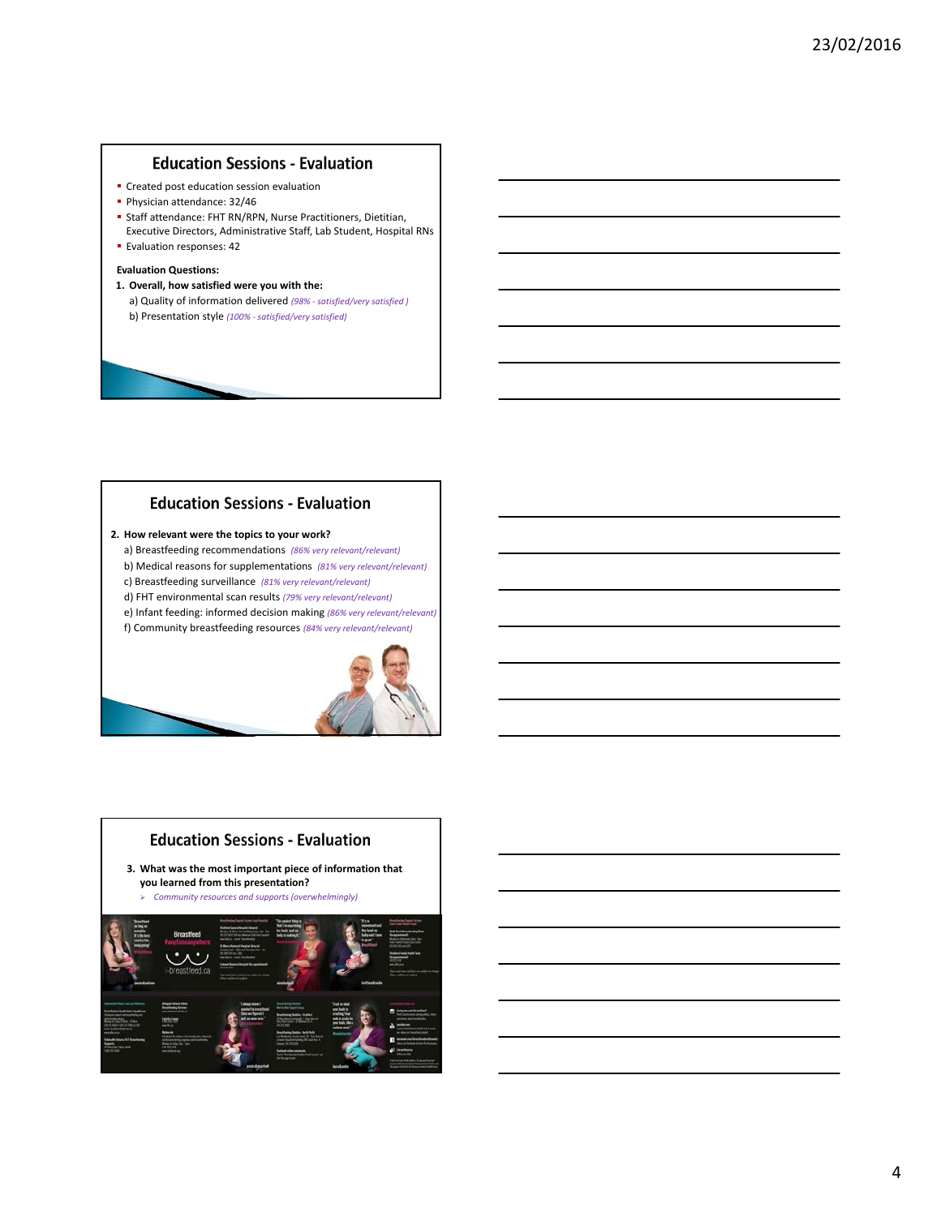### **Education Sessions - Evaluation**

- **Created post education session evaluation**
- Physician attendance: 32/46
- Staff attendance: FHT RN/RPN, Nurse Practitioners, Dietitian,
- Executive Directors, Administrative Staff, Lab Student, Hospital RNs **Evaluation responses: 42**

### **Evaluation Questions:**

**1. Overall, how satisfied were you with the:** a) Quality of information delivered *(98% ‐ satisfied/very satisfied )* b) Presentation style *(100% ‐ satisfied/very satisfied)*

# **Education Sessions - Evaluation**

- **2. How relevant were the topics to your work?**
	- a) Breastfeeding recommendations *(86% very relevant/relevant)*
	- b) Medical reasons for supplementations *(81% very relevant/relevant)*
	- c) Breastfeeding surveillance *(81% very relevant/relevant)* d) FHT environmental scan results *(79% very relevant/relevant)*
	-
	- e) Infant feeding: informed decision making *(86% very relevant/relevant)* f) Community breastfeeding resources *(84% very relevant/relevant)*



## **Education Sessions - Evaluation**

**3. What was the most important piece of information that you learned from this presentation?**

*Community resources and supports (overwhelmingly)*

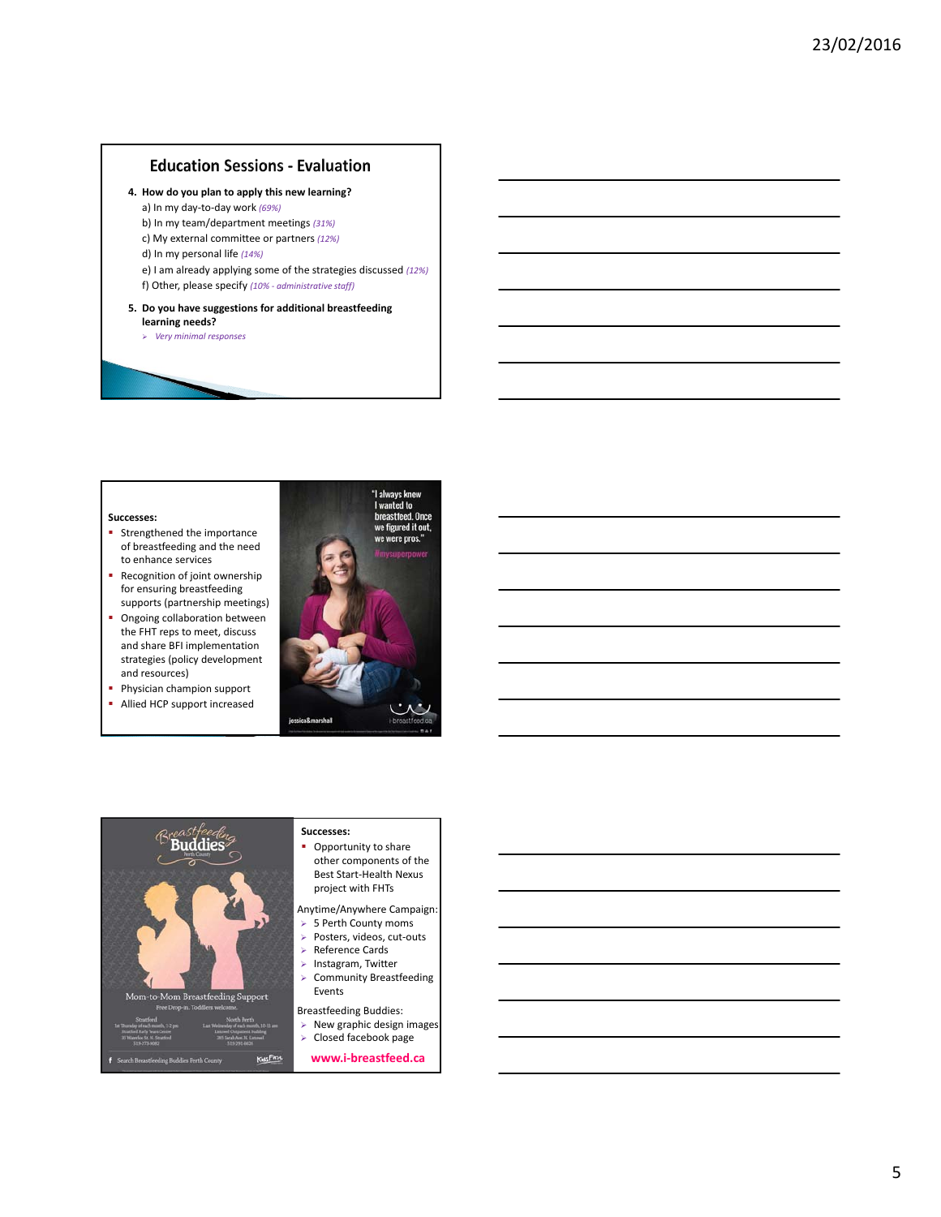## **Education Sessions - Evaluation**

- **4. How do you plan to apply this new learning?**
	- a) In my day‐to‐day work *(69%)*
	- b) In my team/department meetings *(31%)*
	- c) My external committee or partners *(12%)*
	- d) In my personal life *(14%)*
	- e) I am already applying some of the strategies discussed *(12%)*
	- f) Other, please specify *(10% ‐ administrative staff)*

#### **5. Do you have suggestions for additional breastfeeding learning needs?**

*Very minimal responses*

#### **Successes:**

- **Strengthened the importance** of breastfeeding and the need to enhance services
- Recognition of joint ownership for ensuring breastfeeding supports (partnership meetings)
- **Ongoing collaboration between** the FHT reps to meet, discuss and share BFI implementation strategies (policy development and resources)
- Physician champion support
- Allied HCP support increased





### **Successes:**

- other components of the Best Start‐Health Nexus
- Anytime/Anywhere Campaign:
- 
- 
- 
- Community Breastfeeding
- 
- $\triangleright$  New graphic design images
- 
-